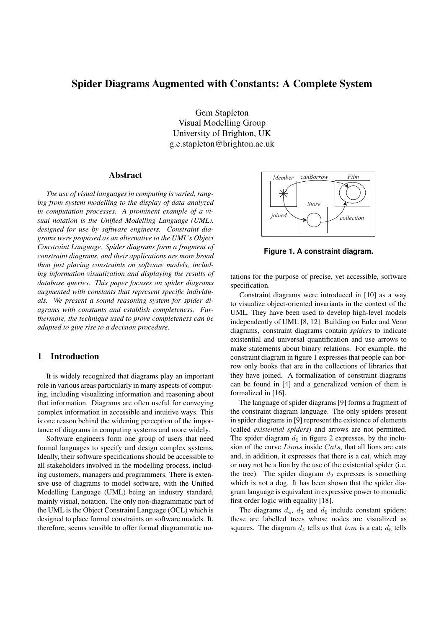# Spider Diagrams Augmented with Constants: A Complete System

Gem Stapleton Visual Modelling Group University of Brighton, UK g.e.stapleton@brighton.ac.uk

### Abstract

*The use of visual languages in computing is varied, ranging from system modelling to the display of data analyzed in computation processes. A prominent example of a visual notation is the Unified Modelling Language (UML), designed for use by software engineers. Constraint diagrams were proposed as an alternative to the UML's Object Constraint Language. Spider diagrams form a fragment of constraint diagrams, and their applications are more broad than just placing constraints on software models, including information visualization and displaying the results of database queries. This paper focuses on spider diagrams augmented with constants that represent specific individuals. We present a sound reasoning system for spider diagrams with constants and establish completeness. Furthermore, the technique used to prove completeness can be adapted to give rise to a decision procedure.*

# 1 Introduction

It is widely recognized that diagrams play an important role in various areas particularly in many aspects of computing, including visualizing information and reasoning about that information. Diagrams are often useful for conveying complex information in accessible and intuitive ways. This is one reason behind the widening perception of the importance of diagrams in computing systems and more widely.

Software engineers form one group of users that need formal languages to specify and design complex systems. Ideally, their software specifications should be accessible to all stakeholders involved in the modelling process, including customers, managers and programmers. There is extensive use of diagrams to model software, with the Unified Modelling Language (UML) being an industry standard, mainly visual, notation. The only non-diagrammatic part of the UML is the Object Constraint Language (OCL) which is designed to place formal constraints on software models. It, therefore, seems sensible to offer formal diagrammatic no-



**Figure 1. A constraint diagram.**

tations for the purpose of precise, yet accessible, software specification.

Constraint diagrams were introduced in [10] as a way to visualize object-oriented invariants in the context of the UML. They have been used to develop high-level models independently of UML [8, 12]. Building on Euler and Venn diagrams, constraint diagrams contain *spiders* to indicate existential and universal quantification and use arrows to make statements about binary relations. For example, the constraint diagram in figure 1 expresses that people can borrow only books that are in the collections of libraries that they have joined. A formalization of constraint diagrams can be found in [4] and a generalized version of them is formalized in [16].

The language of spider diagrams [9] forms a fragment of the constraint diagram language. The only spiders present in spider diagrams in [9] represent the existence of elements (called *existential spiders*) and arrows are not permitted. The spider diagram  $d_1$  in figure 2 expresses, by the inclusion of the curve Lions inside Cats, that all lions are cats and, in addition, it expresses that there is a cat, which may or may not be a lion by the use of the existential spider (i.e. the tree). The spider diagram  $d_2$  expresses is something which is not a dog. It has been shown that the spider diagram language is equivalent in expressive power to monadic first order logic with equality [18].

The diagrams  $d_4$ ,  $d_5$  and  $d_6$  include constant spiders; these are labelled trees whose nodes are visualized as squares. The diagram  $d_4$  tells us that tom is a cat;  $d_5$  tells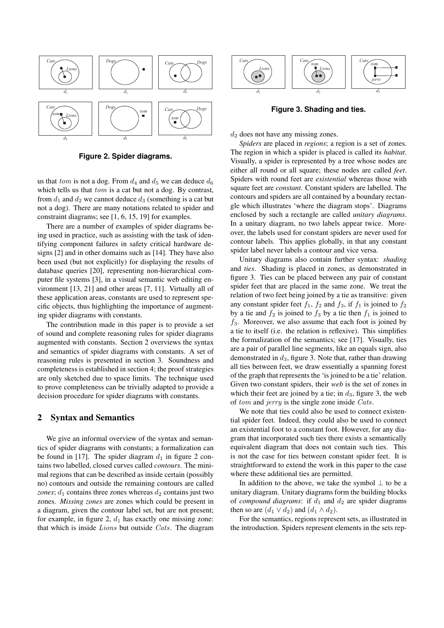

**Figure 2. Spider diagrams.**

us that *tom* is not a dog. From  $d_4$  and  $d_5$  we can deduce  $d_6$ which tells us that *tom* is a cat but not a dog. By contrast, from  $d_1$  and  $d_2$  we cannot deduce  $d_3$  (something is a cat but not a dog). There are many notations related to spider and constraint diagrams; see [1, 6, 15, 19] for examples.

There are a number of examples of spider diagrams being used in practice, such as assisting with the task of identifying component failures in safety critical hardware designs [2] and in other domains such as [14]. They have also been used (but not explicitly) for displaying the results of database queries [20], representing non-hierarchical computer file systems [3], in a visual semantic web editing environment [13, 21] and other areas [7, 11]. Virtually all of these application areas, constants are used to represent specific objects, thus highlighting the importance of augmenting spider diagrams with constants.

The contribution made in this paper is to provide a set of sound and complete reasoning rules for spider diagrams augmented with constants. Section 2 overviews the syntax and semantics of spider diagrams with constants. A set of reasoning rules is presented in section 3. Soundness and completeness is established in section 4; the proof strategies are only sketched due to space limits. The technique used to prove completeness can be trivially adapted to provide a decision procedure for spider diagrams with constants.

### 2 Syntax and Semantics

We give an informal overview of the syntax and semantics of spider diagrams with constants; a formalization can be found in [17]. The spider diagram  $d_1$  in figure 2 contains two labelled, closed curves called *contours*. The minimal regions that can be described as inside certain (possibly no) contours and outside the remaining contours are called *zones*;  $d_1$  contains three zones whereas  $d_2$  contains just two zones. *Missing zones* are zones which could be present in a diagram, given the contour label set, but are not present; for example, in figure 2,  $d_1$  has exactly one missing zone: that which is inside Lions but outside Cats. The diagram



**Figure 3. Shading and ties.**

 $d_2$  does not have any missing zones.

*Spiders* are placed in *regions*; a region is a set of zones. The region in which a spider is placed is called its *habitat*. Visually, a spider is represented by a tree whose nodes are either all round or all square; these nodes are called *feet*. Spiders with round feet are *existential* whereas those with square feet are *constant*. Constant spiders are labelled. The contours and spiders are all contained by a boundary rectangle which illustrates 'where the diagram stops'. Diagrams enclosed by such a rectangle are called *unitary diagrams*. In a unitary diagram, no two labels appear twice. Moreover, the labels used for constant spiders are never used for contour labels. This applies globally, in that any constant spider label never labels a contour and vice versa.

Unitary diagrams also contain further syntax: *shading* and *ties*. Shading is placed in zones, as demonstrated in figure 3. Ties can be placed between any pair of constant spider feet that are placed in the same zone. We treat the relation of two feet being joined by a tie as transitive: given any constant spider feet  $f_1$ ,  $f_2$  and  $f_3$ , if  $f_1$  is joined to  $f_2$ by a tie and  $f_2$  is joined to  $f_3$  by a tie then  $f_1$  is joined to  $f_3$ . Moreover, we also assume that each foot is joined by a tie to itself (i.e. the relation is reflexive). This simplifies the formalization of the semantics; see [17]. Visually, ties are a pair of parallel line segments, like an equals sign, also demonstrated in  $d_3$ , figure 3. Note that, rather than drawing all ties between feet, we draw essentially a spanning forest of the graph that represents the 'is joined to be a tie' relation. Given two constant spiders, their *web* is the set of zones in which their feet are joined by a tie; in  $d_3$ , figure 3, the web of tom and jerry is the single zone inside Cats.

We note that ties could also be used to connect existential spider feet. Indeed, they could also be used to connect an existential foot to a constant foot. However, for any diagram that incorporated such ties there exists a semantically equivalent diagram that does not contain such ties. This is not the case for ties between constant spider feet. It is straightforward to extend the work in this paper to the case where these additional ties are permitted.

In addition to the above, we take the symbol  $\perp$  to be a unitary diagram. Unitary diagrams form the building blocks of *compound diagrams*: if  $d_1$  and  $d_2$  are spider diagrams then so are  $(d_1 \vee d_2)$  and  $(d_1 \wedge d_2)$ .

For the semantics, regions represent sets, as illustrated in the introduction. Spiders represent elements in the sets rep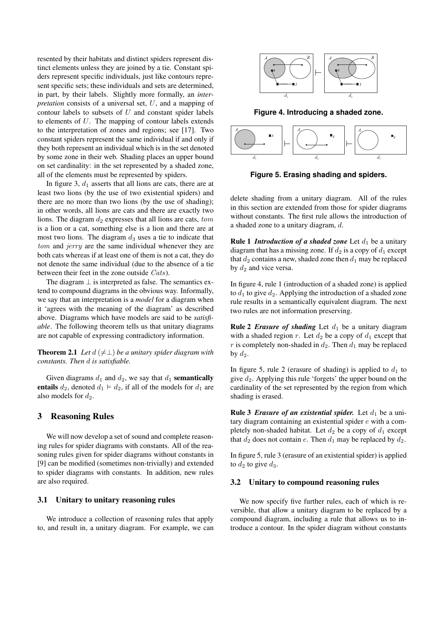resented by their habitats and distinct spiders represent distinct elements unless they are joined by a tie. Constant spiders represent specific individuals, just like contours represent specific sets; these individuals and sets are determined, in part, by their labels. Slightly more formally, an *interpretation* consists of a universal set, U, and a mapping of contour labels to subsets of  $U$  and constant spider labels to elements of U. The mapping of contour labels extends to the interpretation of zones and regions; see [17]. Two constant spiders represent the same individual if and only if they both represent an individual which is in the set denoted by some zone in their web. Shading places an upper bound on set cardinality: in the set represented by a shaded zone, all of the elements must be represented by spiders.

In figure 3,  $d_1$  asserts that all lions are cats, there are at least two lions (by the use of two existential spiders) and there are no more than two lions (by the use of shading); in other words, all lions are cats and there are exactly two lions. The diagram  $d_2$  expresses that all lions are cats, tom is a lion or a cat, something else is a lion and there are at most two lions. The diagram  $d_3$  uses a tie to indicate that tom and *jerry* are the same individual whenever they are both cats whereas if at least one of them is not a cat, they do not denote the same individual (due to the absence of a tie between their feet in the zone outside Cats).

The diagram  $\perp$  is interpreted as false. The semantics extend to compound diagrams in the obvious way. Informally, we say that an interpretation is a *model* for a diagram when it 'agrees with the meaning of the diagram' as described above. Diagrams which have models are said to be *satisfiable*. The following theorem tells us that unitary diagrams are not capable of expressing contradictory information.

**Theorem 2.1** *Let*  $d \neq \bot$ *) be a unitary spider diagram with constants. Then* d *is satisfiable.*

Given diagrams  $d_1$  and  $d_2$ , we say that  $d_1$  semantically entails  $d_2$ , denoted  $d_1 \models d_2$ , if all of the models for  $d_1$  are also models for  $d_2$ .

# 3 Reasoning Rules

We will now develop a set of sound and complete reasoning rules for spider diagrams with constants. All of the reasoning rules given for spider diagrams without constants in [9] can be modified (sometimes non-trivially) and extended to spider diagrams with constants. In addition, new rules are also required.

#### 3.1 Unitary to unitary reasoning rules

We introduce a collection of reasoning rules that apply to, and result in, a unitary diagram. For example, we can



**Figure 4. Introducing a shaded zone.**



**Figure 5. Erasing shading and spiders.**

delete shading from a unitary diagram. All of the rules in this section are extended from those for spider diagrams without constants. The first rule allows the introduction of a shaded zone to a unitary diagram, d.

**Rule 1** *Introduction of a shaded zone* Let  $d_1$  be a unitary diagram that has a missing zone. If  $d_2$  is a copy of  $d_1$  except that  $d_2$  contains a new, shaded zone then  $d_1$  may be replaced by  $d_2$  and vice versa.

In figure 4, rule 1 (introduction of a shaded zone) is applied to  $d_1$  to give  $d_2$ . Applying the introduction of a shaded zone rule results in a semantically equivalent diagram. The next two rules are not information preserving.

**Rule 2** *Erasure of shading* Let  $d_1$  be a unitary diagram with a shaded region r. Let  $d_2$  be a copy of  $d_1$  except that r is completely non-shaded in  $d_2$ . Then  $d_1$  may be replaced by  $d_2$ .

In figure 5, rule 2 (erasure of shading) is applied to  $d_1$  to give  $d_2$ . Applying this rule 'forgets' the upper bound on the cardinality of the set represented by the region from which shading is erased.

**Rule 3** *Erasure of an existential spider*. Let  $d_1$  be a unitary diagram containing an existential spider e with a completely non-shaded habitat. Let  $d_2$  be a copy of  $d_1$  except that  $d_2$  does not contain e. Then  $d_1$  may be replaced by  $d_2$ .

In figure 5, rule 3 (erasure of an existential spider) is applied to  $d_2$  to give  $d_3$ .

#### 3.2 Unitary to compound reasoning rules

We now specify five further rules, each of which is reversible, that allow a unitary diagram to be replaced by a compound diagram, including a rule that allows us to introduce a contour. In the spider diagram without constants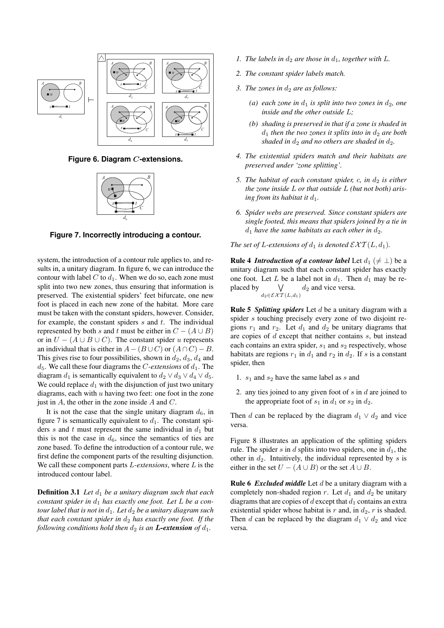

**Figure 6. Diagram** C**-extensions.**



**Figure 7. Incorrectly introducing a contour.**

system, the introduction of a contour rule applies to, and results in, a unitary diagram. In figure 6, we can introduce the contour with label  $C$  to  $d_1$ . When we do so, each zone must split into two new zones, thus ensuring that information is preserved. The existential spiders' feet bifurcate, one new foot is placed in each new zone of the habitat. More care must be taken with the constant spiders, however. Consider, for example, the constant spiders  $s$  and  $t$ . The individual represented by both s and t must be either in  $C - (A \cup B)$ or in  $U - (A \cup B \cup C)$ . The constant spider u represents an individual that is either in  $A - (B \cup C)$  or  $(A \cap C) - B$ . This gives rise to four possibilities, shown in  $d_2$ ,  $d_3$ ,  $d_4$  and  $d_5$ . We call these four diagrams the *C*-extensions of  $d_1$ . The diagram  $d_1$  is semantically equivalent to  $d_2 \vee d_3 \vee d_4 \vee d_5$ . We could replace  $d_1$  with the disjunction of just two unitary diagrams, each with  $u$  having two feet: one foot in the zone just in  $A$ , the other in the zone inside  $A$  and  $C$ .

It is not the case that the single unitary diagram  $d_6$ , in figure 7 is semantically equivalent to  $d_1$ . The constant spiders s and t must represent the same individual in  $d_1$  but this is not the case in  $d_6$ , since the semantics of ties are zone based. To define the introduction of a contour rule, we first define the component parts of the resulting disjunction. We call these component parts L*-extensions*, where L is the introduced contour label.

**Definition 3.1** *Let*  $d_1$  *be a unitary diagram such that each constant spider in*  $d_1$  *has exactly one foot. Let L be a contour label that is not in*  $d_1$ *. Let*  $d_2$  *be a unitary diagram such that each constant spider in*  $d_2$  *has exactly one foot. If the following conditions hold then*  $d_2$  *is an L***-extension** of  $d_1$ *.* 

- *1. The labels in*  $d_2$  *are those in*  $d_1$ *, together with L*.
- *2. The constant spider labels match.*
- *3. The zones in*  $d_2$  *are as follows:* 
	- *(a) each zone in*  $d_1$  *is split into two zones in*  $d_2$ *, one inside and the other outside* L*;*
	- *(b) shading is preserved in that if a zone is shaded in*  $d_1$  *then the two zones it splits into in*  $d_2$  *are both shaded in*  $d_2$  *and no others are shaded in*  $d_2$ *.*
- *4. The existential spiders match and their habitats are preserved under 'zone splitting'.*
- *5. The habitat of each constant spider, c, in*  $d_2$  *is either the zone inside* L *or that outside* L *(but not both) arising from its habitat it*  $d_1$ *.*
- *6. Spider webs are preserved. Since constant spiders are single footed, this means that spiders joined by a tie in*  $d_1$  *have the same habitats as each other in*  $d_2$ .

*The set of L-extensions of*  $d_1$  *is denoted*  $\mathcal{E} \mathcal{X} \mathcal{T} (L, d_1)$ *.* 

**Rule 4** *Introduction of a contour label* Let  $d_1 \neq \bot$ ) be a unitary diagram such that each constant spider has exactly one foot. Let L be a label not in  $d_1$ . Then  $d_1$  may be re-<br>placed by  $\bigvee$   $d_2$  and vice versa.  $d_2 \in \mathcal{E} \mathcal{X} \mathcal{T}(L,d_1)$  $d_2$  and vice versa.

Rule 5 *Splitting spiders* Let d be a unitary diagram with a spider s touching precisely every zone of two disjoint regions  $r_1$  and  $r_2$ . Let  $d_1$  and  $d_2$  be unitary diagrams that are copies of d except that neither contains s, but instead each contains an extra spider,  $s_1$  and  $s_2$  respectively, whose habitats are regions  $r_1$  in  $d_1$  and  $r_2$  in  $d_2$ . If s is a constant spider, then

- 1.  $s_1$  and  $s_2$  have the same label as s and
- 2. any ties joined to any given foot of  $s$  in  $d$  are joined to the appropriate foot of  $s_1$  in  $d_1$  or  $s_2$  in  $d_2$ .

Then d can be replaced by the diagram  $d_1 \vee d_2$  and vice versa.

Figure 8 illustrates an application of the splitting spiders rule. The spider s in d splits into two spiders, one in  $d_1$ , the other in  $d_2$ . Intuitively, the individual represented by s is either in the set  $U - (A \cup B)$  or the set  $A \cup B$ .

Rule 6 *Excluded middle* Let d be a unitary diagram with a completely non-shaded region r. Let  $d_1$  and  $d_2$  be unitary diagrams that are copies of  $d$  except that  $d_1$  contains an extra existential spider whose habitat is  $r$  and, in  $d_2$ ,  $r$  is shaded. Then d can be replaced by the diagram  $d_1 \vee d_2$  and vice versa.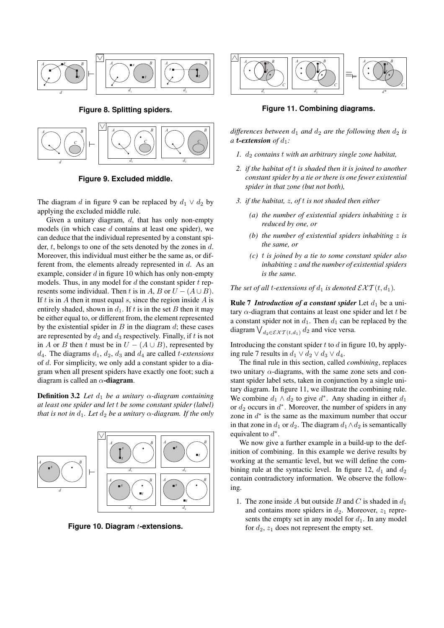

**Figure 8. Splitting spiders.**



**Figure 9. Excluded middle.**

The diagram d in figure 9 can be replaced by  $d_1 \vee d_2$  by applying the excluded middle rule.

Given a unitary diagram,  $d$ , that has only non-empty models (in which case  $d$  contains at least one spider), we can deduce that the individual represented by a constant spider,  $t$ , belongs to one of the sets denoted by the zones in  $d$ . Moreover, this individual must either be the same as, or different from, the elements already represented in d. As an example, consider  $d$  in figure 10 which has only non-empty models. Thus, in any model for  $d$  the constant spider  $t$  represents some individual. Then t is in A, B or  $U - (A \cup B)$ . If t is in A then it must equal s, since the region inside  $\ddot{A}$  is entirely shaded, shown in  $d_1$ . If t is in the set B then it may be either equal to, or different from, the element represented by the existential spider in  $B$  in the diagram  $d$ ; these cases are represented by  $d_2$  and  $d_3$  respectively. Finally, if t is not in A or B then t must be in  $U - (A \cup B)$ , represented by  $d_4$ . The diagrams  $d_1$ ,  $d_2$ ,  $d_3$  and  $d_4$  are called *t-extensions* of d. For simplicity, we only add a constant spider to a diagram when all present spiders have exactly one foot; such a diagram is called an  $\alpha$ -diagram.

**Definition 3.2** *Let*  $d_1$  *be a unitary*  $\alpha$ *-diagram containing at least one spider and let* t *be some constant spider (label) that is not in*  $d_1$ *. Let*  $d_2$  *be a unitary*  $\alpha$ *-diagram. If the only* 



**Figure 10. Diagram** t**-extensions.**



**Figure 11. Combining diagrams.**

*differences between*  $d_1$  *and*  $d_2$  *are the following then*  $d_2$  *is a t***-extension** of  $d_1$ :

- *1.*  $d_2$  *contains t* with an arbitrary single zone habitat,
- *2. if the habitat of* t *is shaded then it is joined to another constant spider by a tie or there is one fewer existential spider in that zone (but not both),*
- *3. if the habitat,* z*, of* t *is not shaded then either*
	- *(a) the number of existential spiders inhabiting* z *is reduced by one, or*
	- *(b) the number of existential spiders inhabiting* z *is the same, or*
	- *(c)* t *is joined by a tie to some constant spider also inhabiting* z *and the number of existential spiders is the same.*

*The set of all t-extensions of*  $d_1$  *is denoted*  $\mathcal{E} \mathcal{X} \mathcal{T}(t, d_1)$ *.* 

**Rule 7** *Introduction of a constant spider* Let  $d_1$  be a unitary  $\alpha$ -diagram that contains at least one spider and let t be a constant spider not in  $d_1$ . Then  $d_1$  can be replaced by the a constant spider not in  $a_1$ . Then  $a_1$  can b<br>diagram  $\bigvee_{d_2 \in \mathcal{E}} \chi_{\mathcal{T}(t,d_1)} d_2$  and vice versa.

Introducing the constant spider  $t$  to  $d$  in figure 10, by applying rule 7 results in  $d_1 \vee d_2 \vee d_3 \vee d_4$ .

The final rule in this section, called *combining*, replaces two unitary  $\alpha$ -diagrams, with the same zone sets and constant spider label sets, taken in conjunction by a single unitary diagram. In figure 11, we illustrate the combining rule. We combine  $d_1 \wedge d_2$  to give  $d^*$ . Any shading in either  $d_1$ or  $d_2$  occurs in  $d^*$ . Moreover, the number of spiders in any zone in  $d^*$  is the same as the maximum number that occur in that zone in  $d_1$  or  $d_2$ . The diagram  $d_1 \wedge d_2$  is semantically equivalent to  $d^*$ .

We now give a further example in a build-up to the definition of combining. In this example we derive results by working at the semantic level, but we will define the combining rule at the syntactic level. In figure 12,  $d_1$  and  $d_2$ contain contradictory information. We observe the following.

1. The zone inside A but outside B and C is shaded in  $d_1$ and contains more spiders in  $d_2$ . Moreover,  $z_1$  represents the empty set in any model for  $d_1$ . In any model for  $d_2$ ,  $z_1$  does not represent the empty set.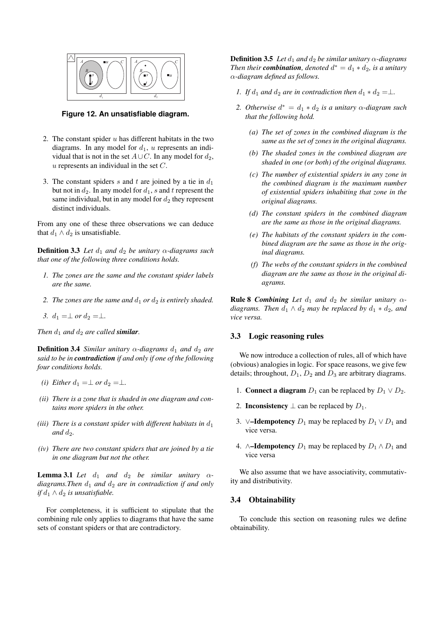

**Figure 12. An unsatisfiable diagram.**

- 2. The constant spider  $u$  has different habitats in the two diagrams. In any model for  $d_1$ , u represents an individual that is not in the set  $A\cup C$ . In any model for  $d_2$ ,  $u$  represents an individual in the set  $C$ .
- 3. The constant spiders s and t are joined by a tie in  $d_1$ but not in  $d_2$ . In any model for  $d_1$ , s and t represent the same individual, but in any model for  $d_2$  they represent distinct individuals.

From any one of these three observations we can deduce that  $d_1 \wedge d_2$  is unsatisfiable.

**Definition 3.3** Let  $d_1$  and  $d_2$  be unitary  $\alpha$ -diagrams such *that one of the following three conditions holds.*

- *1. The zones are the same and the constant spider labels are the same.*
- 2. The zones are the same and  $d_1$  or  $d_2$  is entirely shaded.
- *3.*  $d_1 = \perp$  *or*  $d_2 = \perp$ *.*

*Then*  $d_1$  *and*  $d_2$  *are called <i>similar*.

**Definition 3.4** *Similar unitary*  $\alpha$ -diagrams  $d_1$  and  $d_2$  are *said to be in contradiction if and only if one of the following four conditions holds.*

- *(i)* Either  $d_1 = \perp$  or  $d_2 = \perp$ .
- *(ii) There is a zone that is shaded in one diagram and contains more spiders in the other.*
- *(iii)* There is a constant spider with different habitats in  $d_1$ and  $d_2$ .
- *(iv) There are two constant spiders that are joined by a tie in one diagram but not the other.*

**Lemma 3.1** *Let*  $d_1$  *and*  $d_2$  *be similar unitary*  $\alpha$ *diagrams. Then*  $d_1$  *and*  $d_2$  *are in contradiction if and only if*  $d_1 \wedge d_2$  *is unsatisfiable.* 

For completeness, it is sufficient to stipulate that the combining rule only applies to diagrams that have the same sets of constant spiders or that are contradictory.

**Definition 3.5** *Let*  $d_1$  *and*  $d_2$  *be similar unitary*  $\alpha$ *-diagrams Then their combination, denoted*  $d^* = d_1 * d_2$ , *is a unitary* α*-diagram defined as follows.*

- *1. If*  $d_1$  *and*  $d_2$  *are in contradiction then*  $d_1 * d_2 = \perp$ *.*
- 2. Otherwise  $d^* = d_1 * d_2$  *is a unitary*  $\alpha$ -diagram such *that the following hold.*
	- *(a) The set of zones in the combined diagram is the same as the set of zones in the original diagrams.*
	- *(b) The shaded zones in the combined diagram are shaded in one (or both) of the original diagrams.*
	- *(c) The number of existential spiders in any zone in the combined diagram is the maximum number of existential spiders inhabiting that zone in the original diagrams.*
	- *(d) The constant spiders in the combined diagram are the same as those in the original diagrams.*
	- *(e) The habitats of the constant spiders in the combined diagram are the same as those in the original diagrams.*
	- *(f) The webs of the constant spiders in the combined diagram are the same as those in the original diagrams.*

**Rule 8** *Combining* Let  $d_1$  and  $d_2$  be similar unitary  $\alpha$ *diagrams. Then*  $d_1 \wedge d_2$  *may be replaced by*  $d_1 * d_2$ *, and vice versa.*

#### 3.3 Logic reasoning rules

We now introduce a collection of rules, all of which have (obvious) analogies in logic. For space reasons, we give few details; throughout,  $D_1$ ,  $D_2$  and  $D_3$  are arbitrary diagrams.

- 1. **Connect a diagram**  $D_1$  can be replaced by  $D_1 \vee D_2$ .
- 2. Inconsistency  $\perp$  can be replaced by  $D_1$ .
- 3. ∨–Idempotency  $D_1$  may be replaced by  $D_1 \vee D_1$  and vice versa.
- 4. ∧–Idempotency  $D_1$  may be replaced by  $D_1 \wedge D_1$  and vice versa

We also assume that we have associativity, commutativity and distributivity.

#### 3.4 Obtainability

To conclude this section on reasoning rules we define obtainability.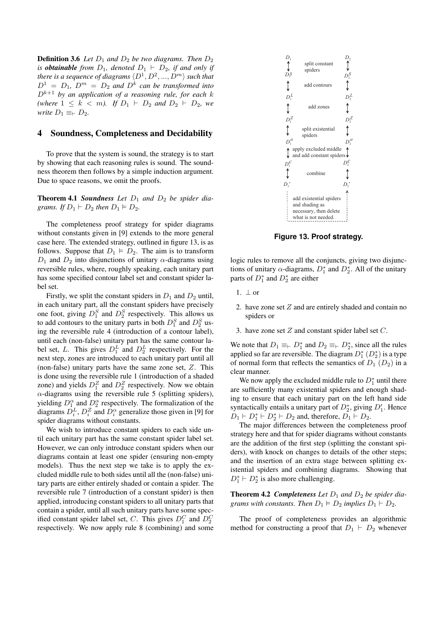**Definition 3.6** *Let*  $D_1$  *and*  $D_2$  *be two diagrams. Then*  $D_2$ *is obtainable* from  $D_1$ , denoted  $D_1 \vdash D_2$ , if and only if there is a sequence of diagrams  $\langle D^1, D^2, ..., D^m \rangle$  such that  $D^1 = D_1$ ,  $D^m = D_2$  and  $D^k$  can be transformed into  $D^{k+1}$  by an application of a reasoning rule, for each k *(where*  $1 \leq k \leq m$ *). If*  $D_1 \vdash D_2$  *and*  $D_2 \vdash D_2$ *, we write*  $D_1 \equiv_{\vdash} D_2$ .

#### 4 Soundness, Completeness and Decidability

To prove that the system is sound, the strategy is to start by showing that each reasoning rules is sound. The soundness theorem then follows by a simple induction argument. Due to space reasons, we omit the proofs.

**Theorem 4.1 Soundness** Let  $D_1$  and  $D_2$  be spider dia*grams. If*  $D_1 \vdash D_2$  *then*  $D_1 \models D_2$ *.* 

The completeness proof strategy for spider diagrams without constants given in [9] extends to the more general case here. The extended strategy, outlined in figure 13, is as follows. Suppose that  $D_1 \models D_2$ . The aim is to transform  $D_1$  and  $D_2$  into disjunctions of unitary  $\alpha$ -diagrams using reversible rules, where, roughly speaking, each unitary part has some specified contour label set and constant spider label set.

Firstly, we split the constant spiders in  $D_1$  and  $D_2$  until, in each unitary part, all the constant spiders have precisely one foot, giving  $D_1^S$  and  $D_2^S$  respectively. This allows us to add contours to the unitary parts in both  $D_1^S$  and  $D_2^S$  using the reversible rule 4 (introduction of a contour label), until each (non-false) unitary part has the same contour label set, L. This gives  $D_1^L$  and  $D_2^L$  respectively. For the next step, zones are introduced to each unitary part until all (non-false) unitary parts have the same zone set, Z. This is done using the reversible rule 1 (introduction of a shaded zone) and yields  $D_1^Z$  and  $D_2^Z$  respectively. Now we obtain  $\alpha$ -diagrams using the reversible rule 5 (splitting spiders), yielding  $D_1^{\alpha}$  and  $D_2^{\alpha}$  respectively. The formalization of the diagrams  $D_i^L$ ,  $D_i^Z$  and  $D_i^{\alpha}$  generalize those given in [9] for spider diagrams without constants.

We wish to introduce constant spiders to each side until each unitary part has the same constant spider label set. However, we can only introduce constant spiders when our diagrams contain at least one spider (ensuring non-empty models). Thus the next step we take is to apply the excluded middle rule to both sides until all the (non-false) unitary parts are either entirely shaded or contain a spider. The reversible rule 7 (introduction of a constant spider) is then applied, introducing constant spiders to all unitary parts that contain a spider, until all such unitary parts have some specified constant spider label set, C. This gives  $D_1^C$  and  $D_2^C$ respectively. We now apply rule 8 (combining) and some



**Figure 13. Proof strategy.**

logic rules to remove all the conjuncts, giving two disjunctions of unitary  $\alpha$ -diagrams,  $D_1^*$  and  $D_2^*$ . All of the unitary parts of  $D_1^*$  and  $D_2^*$  are either

- 1. ⊥ or
- 2. have zone set Z and are entirely shaded and contain no spiders or
- 3. have zone set  $Z$  and constant spider label set  $C$ .

We note that  $D_1 \equiv_{\vdash} D_1^*$  and  $D_2 \equiv_{\vdash} D_2^*$ , since all the rules applied so far are reversible. The diagram  $D_1^*$   $(D_2^*)$  is a type of normal form that reflects the semantics of  $D_1$  ( $D_2$ ) in a clear manner.

We now apply the excluded middle rule to  $D_1^*$  until there are sufficiently many existential spiders and enough shading to ensure that each unitary part on the left hand side syntactically entails a unitary part of  $D_2^*$ , giving  $D_1'$ . Hence  $D_1 \vdash D_1^* \vdash D_2^* \vdash D_2$  and, therefore,  $D_1 \vdash D_2$ .

The major differences between the completeness proof strategy here and that for spider diagrams without constants are the addition of the first step (splitting the constant spiders), with knock on changes to details of the other steps; and the insertion of an extra stage between splitting existential spiders and combining diagrams. Showing that  $D_1^* \vdash D_2^*$  is also more challenging.

**Theorem 4.2 Completeness** Let  $D_1$  and  $D_2$  be spider dia*grams with constants. Then*  $D_1 \models D_2$  *implies*  $D_1 \models D_2$ *.* 

The proof of completeness provides an algorithmic method for constructing a proof that  $D_1 \vdash D_2$  whenever